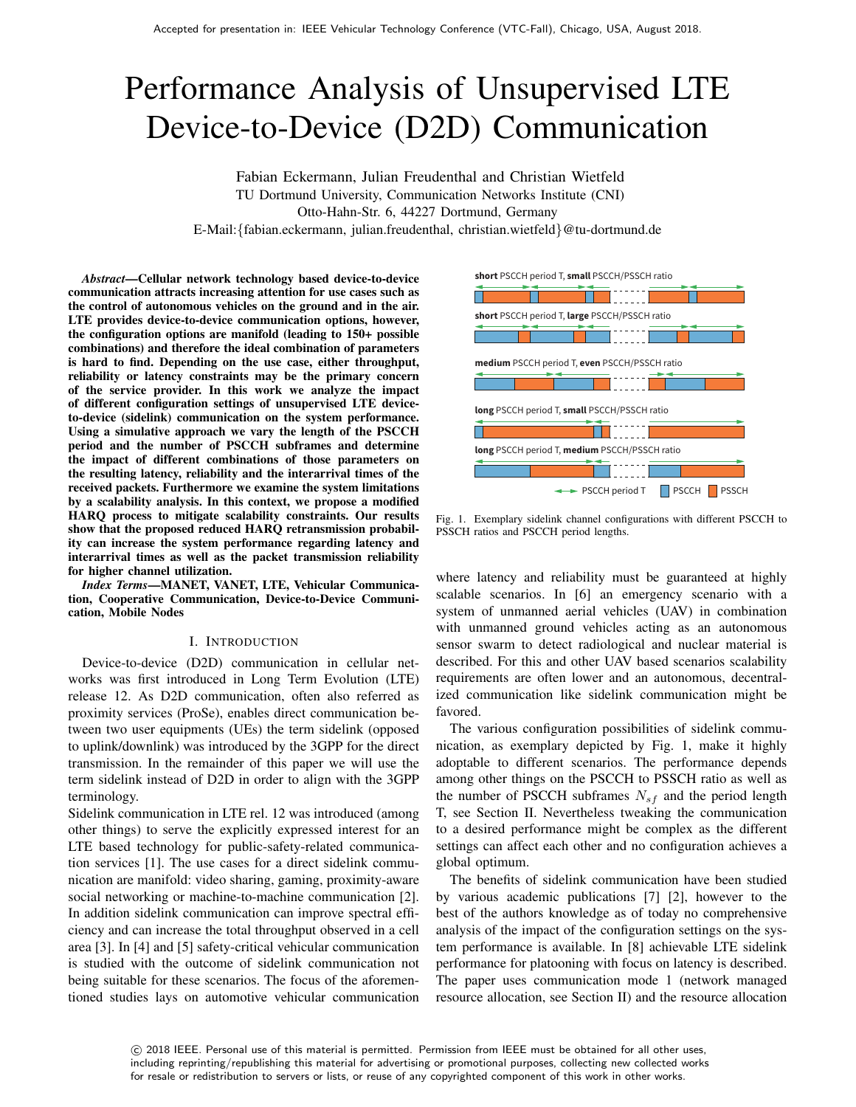# Performance Analysis of Unsupervised LTE Device-to-Device (D2D) Communication

Fabian Eckermann, Julian Freudenthal and Christian Wietfeld TU Dortmund University, Communication Networks Institute (CNI) Otto-Hahn-Str. 6, 44227 Dortmund, Germany E-Mail:{fabian.eckermann, julian.freudenthal, christian.wietfeld}@tu-dortmund.de

*Abstract*—Cellular network technology based device-to-device communication attracts increasing attention for use cases such as the control of autonomous vehicles on the ground and in the air. LTE provides device-to-device communication options, however, the configuration options are manifold (leading to 150+ possible combinations) and therefore the ideal combination of parameters is hard to find. Depending on the use case, either throughput, reliability or latency constraints may be the primary concern of the service provider. In this work we analyze the impact of different configuration settings of unsupervised LTE deviceto-device (sidelink) communication on the system performance. Using a simulative approach we vary the length of the PSCCH period and the number of PSCCH subframes and determine the impact of different combinations of those parameters on the resulting latency, reliability and the interarrival times of the received packets. Furthermore we examine the system limitations by a scalability analysis. In this context, we propose a modified HARQ process to mitigate scalability constraints. Our results show that the proposed reduced HARQ retransmission probability can increase the system performance regarding latency and interarrival times as well as the packet transmission reliability for higher channel utilization.

*Index Terms*—MANET, VANET, LTE, Vehicular Communication, Cooperative Communication, Device-to-Device Communication, Mobile Nodes

#### I. INTRODUCTION

Device-to-device (D2D) communication in cellular networks was first introduced in Long Term Evolution (LTE) release 12. As D2D communication, often also referred as proximity services (ProSe), enables direct communication between two user equipments (UEs) the term sidelink (opposed to uplink/downlink) was introduced by the 3GPP for the direct transmission. In the remainder of this paper we will use the term sidelink instead of D2D in order to align with the 3GPP terminology.

Sidelink communication in LTE rel. 12 was introduced (among other things) to serve the explicitly expressed interest for an LTE based technology for public-safety-related communication services [1]. The use cases for a direct sidelink communication are manifold: video sharing, gaming, proximity-aware social networking or machine-to-machine communication [2]. In addition sidelink communication can improve spectral efficiency and can increase the total throughput observed in a cell area [3]. In [4] and [5] safety-critical vehicular communication is studied with the outcome of sidelink communication not being suitable for these scenarios. The focus of the aforementioned studies lays on automotive vehicular communication



Fig. 1. Exemplary sidelink channel configurations with different PSCCH to PSSCH ratios and PSCCH period lengths.

where latency and reliability must be guaranteed at highly scalable scenarios. In [6] an emergency scenario with a system of unmanned aerial vehicles (UAV) in combination with unmanned ground vehicles acting as an autonomous sensor swarm to detect radiological and nuclear material is described. For this and other UAV based scenarios scalability requirements are often lower and an autonomous, decentralized communication like sidelink communication might be favored.

The various configuration possibilities of sidelink communication, as exemplary depicted by Fig. 1, make it highly adoptable to different scenarios. The performance depends among other things on the PSCCH to PSSCH ratio as well as the number of PSCCH subframes  $N_{sf}$  and the period length T, see Section II. Nevertheless tweaking the communication to a desired performance might be complex as the different settings can affect each other and no configuration achieves a global optimum.

The benefits of sidelink communication have been studied by various academic publications [7] [2], however to the best of the authors knowledge as of today no comprehensive analysis of the impact of the configuration settings on the system performance is available. In [8] achievable LTE sidelink performance for platooning with focus on latency is described. The paper uses communication mode 1 (network managed resource allocation, see Section II) and the resource allocation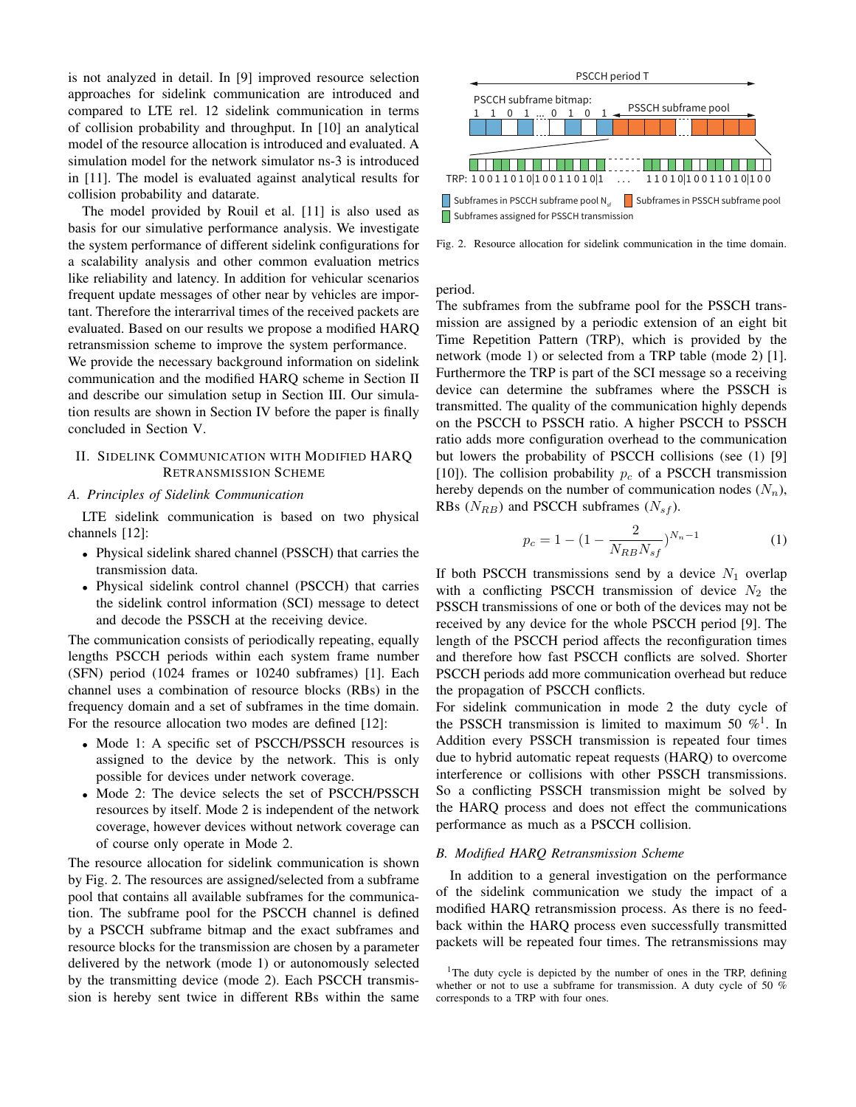is not analyzed in detail. In [9] improved resource selection approaches for sidelink communication are introduced and compared to LTE rel. 12 sidelink communication in terms of collision probability and throughput. In [10] an analytical model of the resource allocation is introduced and evaluated. A simulation model for the network simulator ns-3 is introduced in [11]. The model is evaluated against analytical results for collision probability and datarate.

The model provided by Rouil et al. [11] is also used as basis for our simulative performance analysis. We investigate the system performance of different sidelink configurations for a scalability analysis and other common evaluation metrics like reliability and latency. In addition for vehicular scenarios frequent update messages of other near by vehicles are important. Therefore the interarrival times of the received packets are evaluated. Based on our results we propose a modified HARQ retransmission scheme to improve the system performance.

We provide the necessary background information on sidelink communication and the modified HARQ scheme in Section II and describe our simulation setup in Section III. Our simulation results are shown in Section IV before the paper is finally concluded in Section V.

## II. SIDELINK COMMUNICATION WITH MODIFIED HARQ RETRANSMISSION SCHEME

## *A. Principles of Sidelink Communication*

LTE sidelink communication is based on two physical channels [12]:

- Physical sidelink shared channel (PSSCH) that carries the transmission data.
- Physical sidelink control channel (PSCCH) that carries the sidelink control information (SCI) message to detect and decode the PSSCH at the receiving device.

The communication consists of periodically repeating, equally lengths PSCCH periods within each system frame number (SFN) period (1024 frames or 10240 subframes) [1]. Each channel uses a combination of resource blocks (RBs) in the frequency domain and a set of subframes in the time domain. For the resource allocation two modes are defined [12]:

- Mode 1: A specific set of PSCCH/PSSCH resources is assigned to the device by the network. This is only possible for devices under network coverage.
- Mode 2: The device selects the set of PSCCH/PSSCH resources by itself. Mode 2 is independent of the network coverage, however devices without network coverage can of course only operate in Mode 2.

The resource allocation for sidelink communication is shown by Fig. 2. The resources are assigned/selected from a subframe pool that contains all available subframes for the communication. The subframe pool for the PSCCH channel is defined by a PSCCH subframe bitmap and the exact subframes and resource blocks for the transmission are chosen by a parameter delivered by the network (mode 1) or autonomously selected by the transmitting device (mode 2). Each PSCCH transmission is hereby sent twice in different RBs within the same



Fig. 2. Resource allocation for sidelink communication in the time domain.

period.

The subframes from the subframe pool for the PSSCH transmission are assigned by a periodic extension of an eight bit Time Repetition Pattern (TRP), which is provided by the network (mode 1) or selected from a TRP table (mode 2) [1]. Furthermore the TRP is part of the SCI message so a receiving device can determine the subframes where the PSSCH is transmitted. The quality of the communication highly depends on the PSCCH to PSSCH ratio. A higher PSCCH to PSSCH ratio adds more configuration overhead to the communication but lowers the probability of PSCCH collisions (see (1) [9] [10]). The collision probability  $p_c$  of a PSCCH transmission hereby depends on the number of communication nodes  $(N_n)$ , RBs ( $N_{RB}$ ) and PSCCH subframes ( $N_{sf}$ ).

$$
p_c = 1 - (1 - \frac{2}{N_{RB} N_{sf}})^{N_n - 1}
$$
 (1)

If both PSCCH transmissions send by a device  $N_1$  overlap with a conflicting PSCCH transmission of device  $N_2$  the PSSCH transmissions of one or both of the devices may not be received by any device for the whole PSCCH period [9]. The length of the PSCCH period affects the reconfiguration times and therefore how fast PSCCH conflicts are solved. Shorter PSCCH periods add more communication overhead but reduce the propagation of PSCCH conflicts.

For sidelink communication in mode 2 the duty cycle of the PSSCH transmission is limited to maximum 50  $\%^1$ . In Addition every PSSCH transmission is repeated four times due to hybrid automatic repeat requests (HARQ) to overcome interference or collisions with other PSSCH transmissions. So a conflicting PSSCH transmission might be solved by the HARQ process and does not effect the communications performance as much as a PSCCH collision.

### *B. Modified HARQ Retransmission Scheme*

In addition to a general investigation on the performance of the sidelink communication we study the impact of a modified HARQ retransmission process. As there is no feedback within the HARQ process even successfully transmitted packets will be repeated four times. The retransmissions may

<sup>&</sup>lt;sup>1</sup>The duty cycle is depicted by the number of ones in the TRP, defining whether or not to use a subframe for transmission. A duty cycle of 50 % corresponds to a TRP with four ones.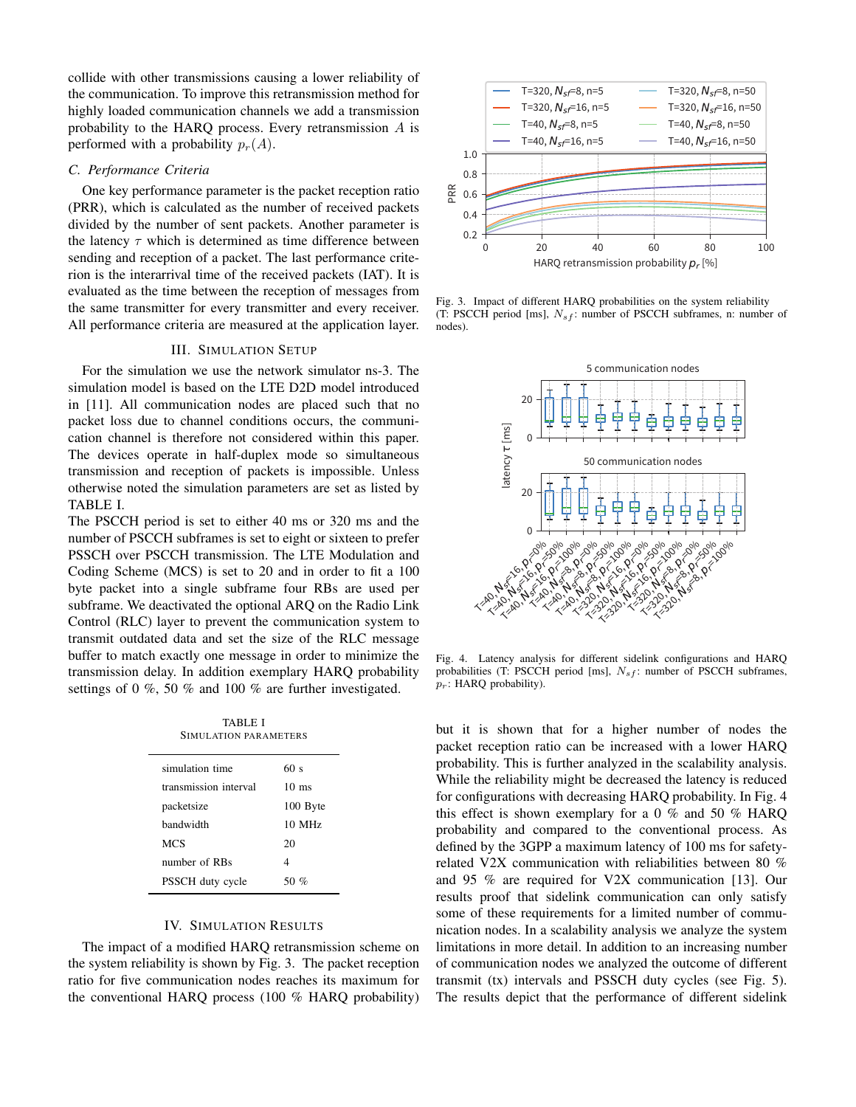collide with other transmissions causing a lower reliability of the communication. To improve this retransmission method for highly loaded communication channels we add a transmission probability to the HARQ process. Every retransmission  $A$  is performed with a probability  $p_r(A)$ .

# *C. Performance Criteria*

One key performance parameter is the packet reception ratio (PRR), which is calculated as the number of received packets divided by the number of sent packets. Another parameter is the latency  $\tau$  which is determined as time difference between sending and reception of a packet. The last performance criterion is the interarrival time of the received packets (IAT). It is evaluated as the time between the reception of messages from the same transmitter for every transmitter and every receiver. All performance criteria are measured at the application layer.

#### III. SIMULATION SETUP

For the simulation we use the network simulator ns-3. The simulation model is based on the LTE D2D model introduced in [11]. All communication nodes are placed such that no packet loss due to channel conditions occurs, the communication channel is therefore not considered within this paper. The devices operate in half-duplex mode so simultaneous transmission and reception of packets is impossible. Unless otherwise noted the simulation parameters are set as listed by TABLE I.

The PSCCH period is set to either 40 ms or 320 ms and the number of PSCCH subframes is set to eight or sixteen to prefer PSSCH over PSCCH transmission. The LTE Modulation and Coding Scheme (MCS) is set to 20 and in order to fit a 100 byte packet into a single subframe four RBs are used per subframe. We deactivated the optional ARQ on the Radio Link Control (RLC) layer to prevent the communication system to transmit outdated data and set the size of the RLC message buffer to match exactly one message in order to minimize the transmission delay. In addition exemplary HARQ probability settings of 0 %, 50 % and 100 % are further investigated.

TABLE I SIMULATION PARAMETERS

| simulation time       | 60 s            |
|-----------------------|-----------------|
| transmission interval | $10 \text{ ms}$ |
| packetsize            | 100 Byte        |
| handwidth             | 10 MHz          |
| <b>MCS</b>            | 20              |
| number of RBs         | 4               |
| PSSCH duty cycle      | 50 %            |
|                       |                 |

### IV. SIMULATION RESULTS

The impact of a modified HARQ retransmission scheme on the system reliability is shown by Fig. 3. The packet reception ratio for five communication nodes reaches its maximum for the conventional HARQ process (100 % HARQ probability)



Fig. 3. Impact of different HARQ probabilities on the system reliability (T: PSCCH period [ms],  $N_{sf}$ : number of PSCCH subframes, n: number of nodes).



Fig. 4. Latency analysis for different sidelink configurations and HARQ probabilities (T: PSCCH period [ms],  $N_{sf}$ : number of PSCCH subframes,  $p_r$ : HARQ probability).

but it is shown that for a higher number of nodes the packet reception ratio can be increased with a lower HARQ probability. This is further analyzed in the scalability analysis. While the reliability might be decreased the latency is reduced for configurations with decreasing HARQ probability. In Fig. 4 this effect is shown exemplary for a 0 % and 50 % HARQ probability and compared to the conventional process. As defined by the 3GPP a maximum latency of 100 ms for safetyrelated V2X communication with reliabilities between 80 % and 95 % are required for V2X communication [13]. Our results proof that sidelink communication can only satisfy some of these requirements for a limited number of communication nodes. In a scalability analysis we analyze the system limitations in more detail. In addition to an increasing number of communication nodes we analyzed the outcome of different transmit (tx) intervals and PSSCH duty cycles (see Fig. 5). The results depict that the performance of different sidelink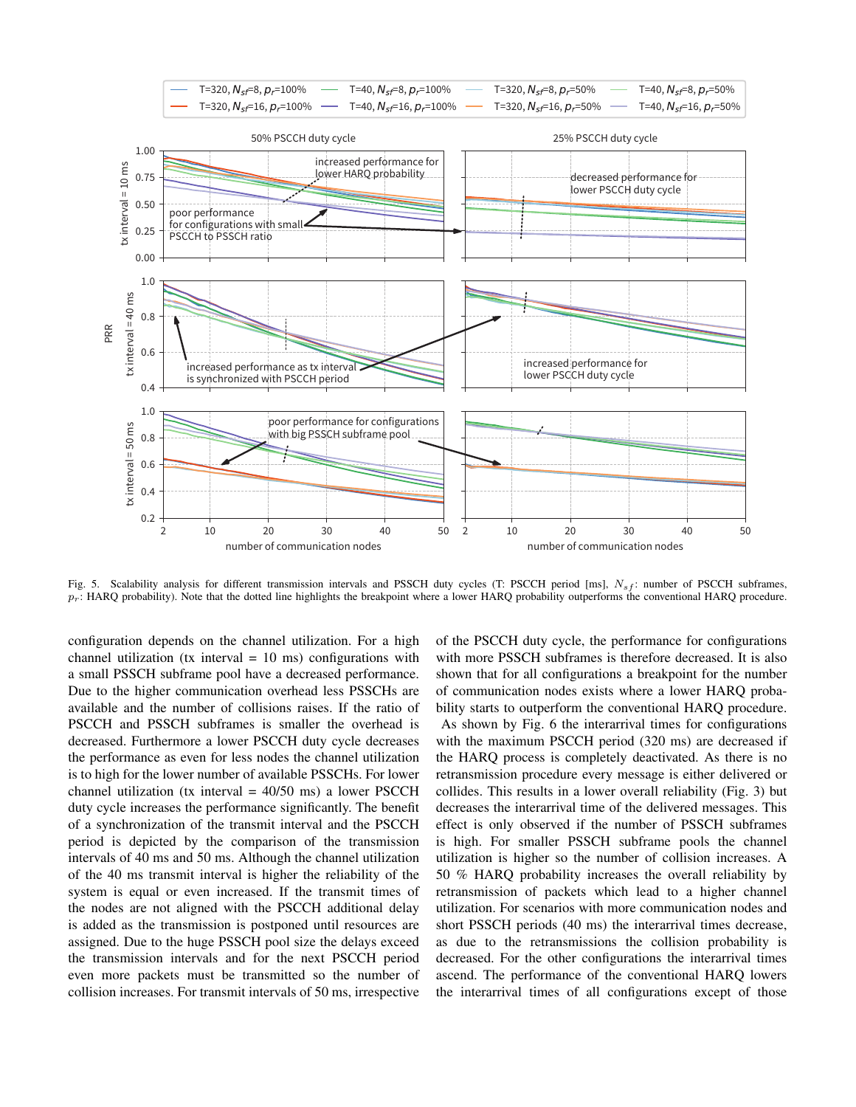

Fig. 5. Scalability analysis for different transmission intervals and PSSCH duty cycles (T: PSCCH period [ms],  $N_{sf}$ : number of PSCCH subframes,  $p_r$ : HARQ probability). Note that the dotted line highlights the breakpoint where a lower HARQ probability outperforms the conventional HARQ procedure.

configuration depends on the channel utilization. For a high channel utilization (tx interval  $= 10$  ms) configurations with a small PSSCH subframe pool have a decreased performance. Due to the higher communication overhead less PSSCHs are available and the number of collisions raises. If the ratio of PSCCH and PSSCH subframes is smaller the overhead is decreased. Furthermore a lower PSCCH duty cycle decreases the performance as even for less nodes the channel utilization is to high for the lower number of available PSSCHs. For lower channel utilization (tx interval  $= 40/50$  ms) a lower PSCCH duty cycle increases the performance significantly. The benefit of a synchronization of the transmit interval and the PSCCH period is depicted by the comparison of the transmission intervals of 40 ms and 50 ms. Although the channel utilization of the 40 ms transmit interval is higher the reliability of the system is equal or even increased. If the transmit times of the nodes are not aligned with the PSCCH additional delay is added as the transmission is postponed until resources are assigned. Due to the huge PSSCH pool size the delays exceed the transmission intervals and for the next PSCCH period even more packets must be transmitted so the number of collision increases. For transmit intervals of 50 ms, irrespective of the PSCCH duty cycle, the performance for configurations with more PSSCH subframes is therefore decreased. It is also shown that for all configurations a breakpoint for the number of communication nodes exists where a lower HARQ probability starts to outperform the conventional HARQ procedure. As shown by Fig. 6 the interarrival times for configurations with the maximum PSCCH period (320 ms) are decreased if the HARQ process is completely deactivated. As there is no retransmission procedure every message is either delivered or collides. This results in a lower overall reliability (Fig. 3) but decreases the interarrival time of the delivered messages. This effect is only observed if the number of PSSCH subframes is high. For smaller PSSCH subframe pools the channel utilization is higher so the number of collision increases. A 50 % HARQ probability increases the overall reliability by retransmission of packets which lead to a higher channel utilization. For scenarios with more communication nodes and short PSSCH periods (40 ms) the interarrival times decrease, as due to the retransmissions the collision probability is decreased. For the other configurations the interarrival times ascend. The performance of the conventional HARQ lowers the interarrival times of all configurations except of those